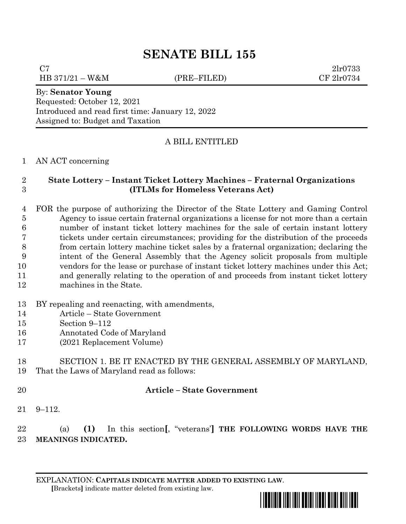# **SENATE BILL 155**

 $C7$  2lr0733 HB 371/21 – W&M (PRE–FILED) CF 2lr0734

### By: **Senator Young**

Requested: October 12, 2021 Introduced and read first time: January 12, 2022 Assigned to: Budget and Taxation

## A BILL ENTITLED

#### AN ACT concerning

### **State Lottery – Instant Ticket Lottery Machines – Fraternal Organizations (ITLMs for Homeless Veterans Act)**

 FOR the purpose of authorizing the Director of the State Lottery and Gaming Control Agency to issue certain fraternal organizations a license for not more than a certain number of instant ticket lottery machines for the sale of certain instant lottery tickets under certain circumstances; providing for the distribution of the proceeds from certain lottery machine ticket sales by a fraternal organization; declaring the intent of the General Assembly that the Agency solicit proposals from multiple vendors for the lease or purchase of instant ticket lottery machines under this Act; and generally relating to the operation of and proceeds from instant ticket lottery machines in the State.

### BY repealing and reenacting, with amendments,

- Article State Government
- Section 9–112
- Annotated Code of Maryland
- (2021 Replacement Volume)

### SECTION 1. BE IT ENACTED BY THE GENERAL ASSEMBLY OF MARYLAND, That the Laws of Maryland read as follows:

### **Article – State Government**

9–112.

 (a) **(1)** In this section**[**, "veterans'**] THE FOLLOWING WORDS HAVE THE MEANINGS INDICATED.**

EXPLANATION: **CAPITALS INDICATE MATTER ADDED TO EXISTING LAW**.  **[**Brackets**]** indicate matter deleted from existing law.

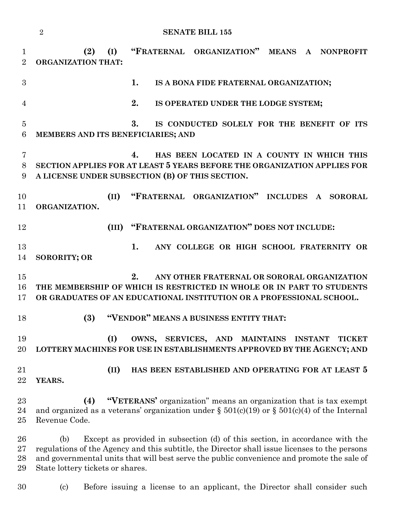**(2) (I) "FRATERNAL ORGANIZATION" MEANS A NONPROFIT ORGANIZATION THAT: 1. IS A BONA FIDE FRATERNAL ORGANIZATION; 2. IS OPERATED UNDER THE LODGE SYSTEM; 3. IS CONDUCTED SOLELY FOR THE BENEFIT OF ITS MEMBERS AND ITS BENEFICIARIES; AND 4. HAS BEEN LOCATED IN A COUNTY IN WHICH THIS SECTION APPLIES FOR AT LEAST 5 YEARS BEFORE THE ORGANIZATION APPLIES FOR A LICENSE UNDER SUBSECTION (B) OF THIS SECTION. (II) "FRATERNAL ORGANIZATION" INCLUDES A SORORAL ORGANIZATION. (III) "FRATERNAL ORGANIZATION" DOES NOT INCLUDE: 1. ANY COLLEGE OR HIGH SCHOOL FRATERNITY OR SORORITY; OR 2. ANY OTHER FRATERNAL OR SORORAL ORGANIZATION THE MEMBERSHIP OF WHICH IS RESTRICTED IN WHOLE OR IN PART TO STUDENTS OR GRADUATES OF AN EDUCATIONAL INSTITUTION OR A PROFESSIONAL SCHOOL. (3) "VENDOR" MEANS A BUSINESS ENTITY THAT: (I) OWNS, SERVICES, AND MAINTAINS INSTANT TICKET LOTTERY MACHINES FOR USE IN ESTABLISHMENTS APPROVED BY THE AGENCY; AND (II) HAS BEEN ESTABLISHED AND OPERATING FOR AT LEAST 5 YEARS. (4) "VETERANS'** organization" means an organization that is tax exempt 24 and organized as a veterans' organization under  $\S 501(c)(19)$  or  $\S 501(c)(4)$  of the Internal Revenue Code. (b) Except as provided in subsection (d) of this section, in accordance with the regulations of the Agency and this subtitle, the Director shall issue licenses to the persons and governmental units that will best serve the public convenience and promote the sale of State lottery tickets or shares.

(c) Before issuing a license to an applicant, the Director shall consider such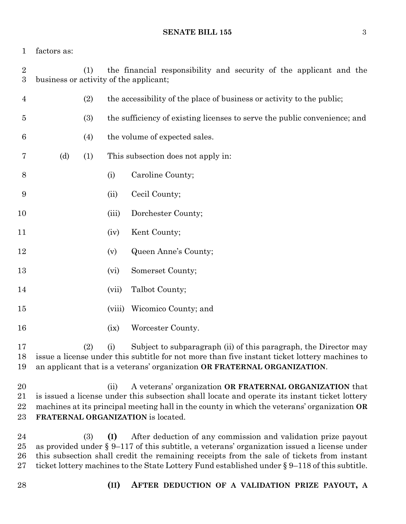factors as:

| $\overline{2}$<br>$\boldsymbol{3}$ | the financial responsibility and security of the applicant and the<br>(1)<br>business or activity of the applicant;                                                                                                                                                                                                                                                            |     |        |                                                                           |
|------------------------------------|--------------------------------------------------------------------------------------------------------------------------------------------------------------------------------------------------------------------------------------------------------------------------------------------------------------------------------------------------------------------------------|-----|--------|---------------------------------------------------------------------------|
| 4                                  |                                                                                                                                                                                                                                                                                                                                                                                | (2) |        | the accessibility of the place of business or activity to the public;     |
| $\overline{5}$                     |                                                                                                                                                                                                                                                                                                                                                                                | (3) |        | the sufficiency of existing licenses to serve the public convenience; and |
| 6                                  |                                                                                                                                                                                                                                                                                                                                                                                | (4) |        | the volume of expected sales.                                             |
| 7                                  | (d)                                                                                                                                                                                                                                                                                                                                                                            | (1) |        | This subsection does not apply in:                                        |
| 8                                  |                                                                                                                                                                                                                                                                                                                                                                                |     | (i)    | Caroline County;                                                          |
| 9                                  |                                                                                                                                                                                                                                                                                                                                                                                |     | (ii)   | Cecil County;                                                             |
| 10                                 |                                                                                                                                                                                                                                                                                                                                                                                |     | (iii)  | Dorchester County;                                                        |
| 11                                 |                                                                                                                                                                                                                                                                                                                                                                                |     | (iv)   | Kent County;                                                              |
| 12                                 |                                                                                                                                                                                                                                                                                                                                                                                |     | (v)    | Queen Anne's County;                                                      |
| 13                                 |                                                                                                                                                                                                                                                                                                                                                                                |     | (vi)   | Somerset County;                                                          |
| 14                                 |                                                                                                                                                                                                                                                                                                                                                                                |     | (vii)  | Talbot County;                                                            |
| $15\,$                             |                                                                                                                                                                                                                                                                                                                                                                                |     | (viii) | Wicomico County; and                                                      |
| 16                                 |                                                                                                                                                                                                                                                                                                                                                                                |     | (ix)   | Worcester County.                                                         |
| 17<br>18<br>19                     | Subject to subparagraph (ii) of this paragraph, the Director may<br>(2)<br>(i)<br>issue a license under this subtitle for not more than five instant ticket lottery machines to<br>an applicant that is a veterans' organization OR FRATERNAL ORGANIZATION.                                                                                                                    |     |        |                                                                           |
| 20<br>21<br>22<br>23               | A veterans' organization OR FRATERNAL ORGANIZATION that<br>(ii)<br>is issued a license under this subsection shall locate and operate its instant ticket lottery<br>machines at its principal meeting hall in the county in which the veterans' organization OR<br>FRATERNAL ORGANIZATION is located.                                                                          |     |        |                                                                           |
| 24<br>$25\,$<br>$26\,$<br>$27\,$   | After deduction of any commission and validation prize payout<br>(3)<br>(I)<br>as provided under $\S 9-117$ of this subtitle, a veterans' organization issued a license under<br>this subsection shall credit the remaining receipts from the sale of tickets from instant<br>ticket lottery machines to the State Lottery Fund established under $\S 9-118$ of this subtitle. |     |        |                                                                           |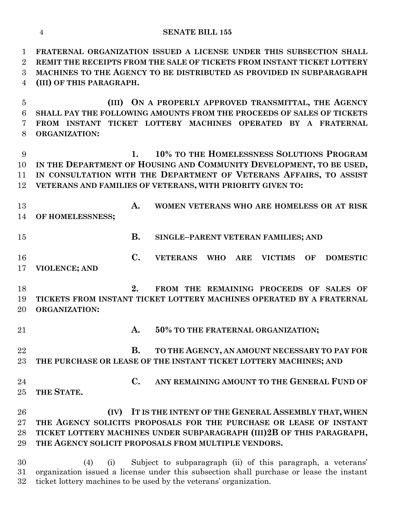#### **SENATE BILL 155**

 **FRATERNAL ORGANIZATION ISSUED A LICENSE UNDER THIS SUBSECTION SHALL REMIT THE RECEIPTS FROM THE SALE OF TICKETS FROM INSTANT TICKET LOTTERY MACHINES TO THE AGENCY TO BE DISTRIBUTED AS PROVIDED IN SUBPARAGRAPH (III) OF THIS PARAGRAPH.**

 **(III) ON A PROPERLY APPROVED TRANSMITTAL, THE AGENCY SHALL PAY THE FOLLOWING AMOUNTS FROM THE PROCEEDS OF SALES OF TICKETS FROM INSTANT TICKET LOTTERY MACHINES OPERATED BY A FRATERNAL ORGANIZATION:**

 **1. 10% TO THE HOMELESSNESS SOLUTIONS PROGRAM IN THE DEPARTMENT OF HOUSING AND COMMUNITY DEVELOPMENT, TO BE USED, IN CONSULTATION WITH THE DEPARTMENT OF VETERANS AFFAIRS, TO ASSIST VETERANS AND FAMILIES OF VETERANS, WITH PRIORITY GIVEN TO:**

- **A. WOMEN VETERANS WHO ARE HOMELESS OR AT RISK OF HOMELESSNESS;**
- **B. SINGLE–PARENT VETERAN FAMILIES; AND**
- **C. VETERANS WHO ARE VICTIMS OF DOMESTIC VIOLENCE; AND**
- **2. FROM THE REMAINING PROCEEDS OF SALES OF TICKETS FROM INSTANT TICKET LOTTERY MACHINES OPERATED BY A FRATERNAL ORGANIZATION:**
- 
- **A. 50% TO THE FRATERNAL ORGANIZATION;**
- **B. TO THE AGENCY, AN AMOUNT NECESSARY TO PAY FOR THE PURCHASE OR LEASE OF THE INSTANT TICKET LOTTERY MACHINES; AND**
- **C. ANY REMAINING AMOUNT TO THE GENERAL FUND OF THE STATE.**

## **(IV) IT IS THE INTENT OF THE GENERAL ASSEMBLY THAT, WHEN THE AGENCY SOLICITS PROPOSALS FOR THE PURCHASE OR LEASE OF INSTANT TICKET LOTTERY MACHINES UNDER SUBPARAGRAPH (III)2B OF THIS PARAGRAPH, THE AGENCY SOLICIT PROPOSALS FROM MULTIPLE VENDORS.**

 (4) (i) Subject to subparagraph (ii) of this paragraph, a veterans' organization issued a license under this subsection shall purchase or lease the instant ticket lottery machines to be used by the veterans' organization.